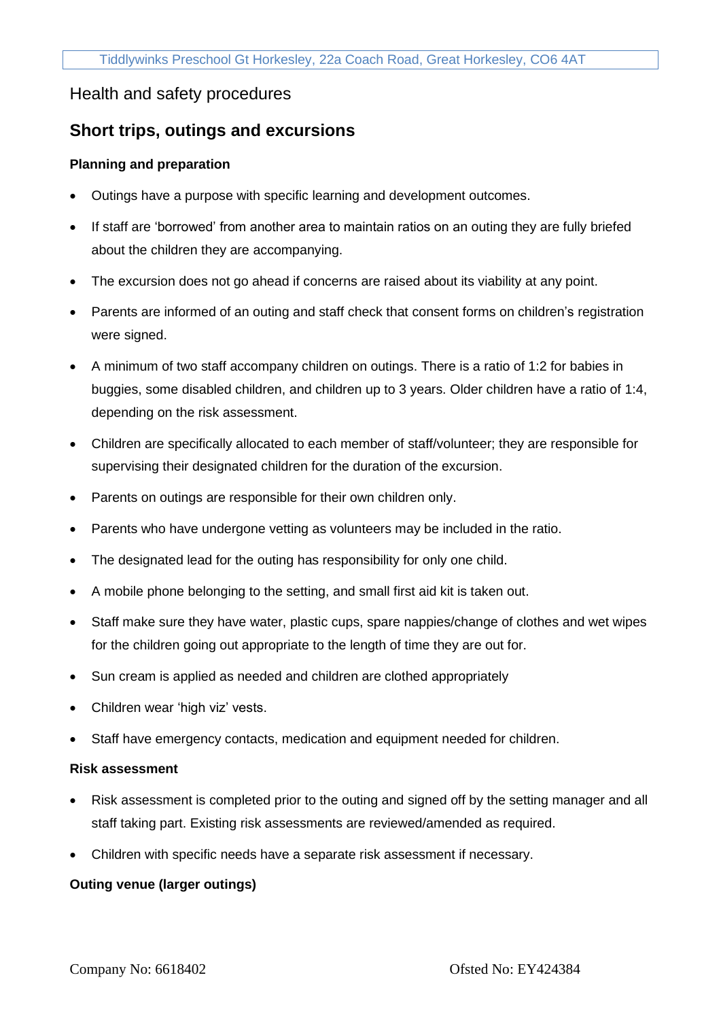# Health and safety procedures

# **Short trips, outings and excursions**

### **Planning and preparation**

- Outings have a purpose with specific learning and development outcomes.
- If staff are 'borrowed' from another area to maintain ratios on an outing they are fully briefed about the children they are accompanying.
- The excursion does not go ahead if concerns are raised about its viability at any point.
- Parents are informed of an outing and staff check that consent forms on children's registration were signed.
- A minimum of two staff accompany children on outings. There is a ratio of 1:2 for babies in buggies, some disabled children, and children up to 3 years. Older children have a ratio of 1:4, depending on the risk assessment.
- Children are specifically allocated to each member of staff/volunteer; they are responsible for supervising their designated children for the duration of the excursion.
- Parents on outings are responsible for their own children only.
- Parents who have undergone vetting as volunteers may be included in the ratio.
- The designated lead for the outing has responsibility for only one child.
- A mobile phone belonging to the setting, and small first aid kit is taken out.
- Staff make sure they have water, plastic cups, spare nappies/change of clothes and wet wipes for the children going out appropriate to the length of time they are out for.
- Sun cream is applied as needed and children are clothed appropriately
- Children wear 'high viz' vests.
- Staff have emergency contacts, medication and equipment needed for children.

#### **Risk assessment**

- Risk assessment is completed prior to the outing and signed off by the setting manager and all staff taking part. Existing risk assessments are reviewed/amended as required.
- Children with specific needs have a separate risk assessment if necessary.

## **Outing venue (larger outings)**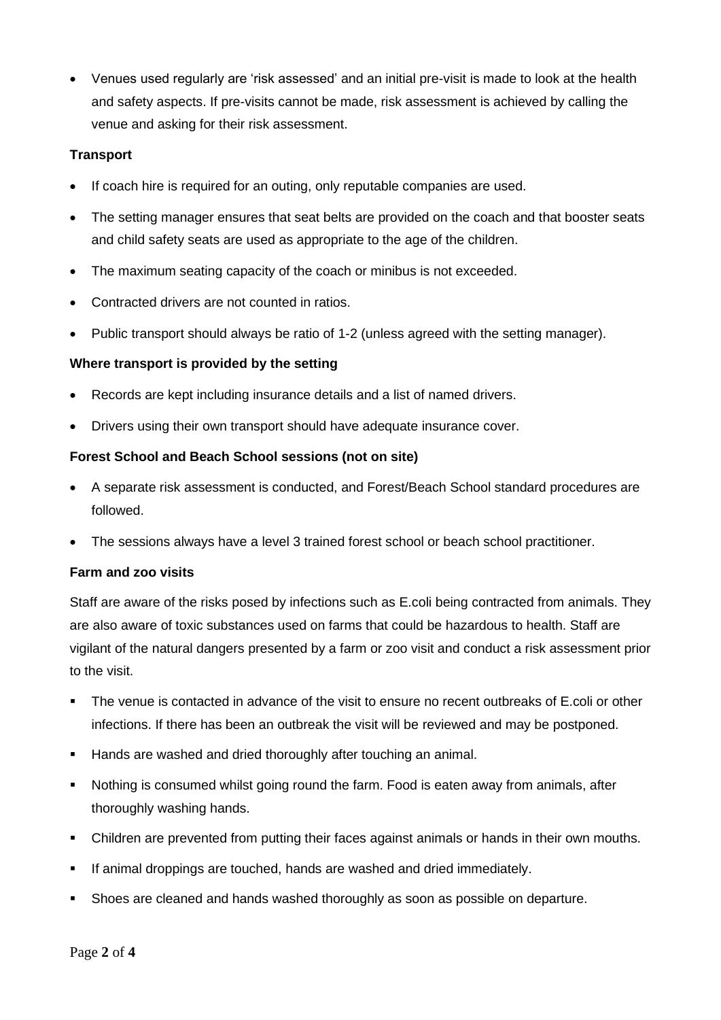• Venues used regularly are 'risk assessed' and an initial pre-visit is made to look at the health and safety aspects. If pre-visits cannot be made, risk assessment is achieved by calling the venue and asking for their risk assessment.

#### **Transport**

- If coach hire is required for an outing, only reputable companies are used.
- The setting manager ensures that seat belts are provided on the coach and that booster seats and child safety seats are used as appropriate to the age of the children.
- The maximum seating capacity of the coach or minibus is not exceeded.
- Contracted drivers are not counted in ratios.
- Public transport should always be ratio of 1-2 (unless agreed with the setting manager).

#### **Where transport is provided by the setting**

- Records are kept including insurance details and a list of named drivers.
- Drivers using their own transport should have adequate insurance cover.

#### **Forest School and Beach School sessions (not on site)**

- A separate risk assessment is conducted, and Forest/Beach School standard procedures are followed.
- The sessions always have a level 3 trained forest school or beach school practitioner.

#### **Farm and zoo visits**

Staff are aware of the risks posed by infections such as E.coli being contracted from animals. They are also aware of toxic substances used on farms that could be hazardous to health. Staff are vigilant of the natural dangers presented by a farm or zoo visit and conduct a risk assessment prior to the visit.

- The venue is contacted in advance of the visit to ensure no recent outbreaks of E.coli or other infections. If there has been an outbreak the visit will be reviewed and may be postponed.
- **EXE** Hands are washed and dried thoroughly after touching an animal.
- Nothing is consumed whilst going round the farm. Food is eaten away from animals, after thoroughly washing hands.
- **•** Children are prevented from putting their faces against animals or hands in their own mouths.
- **EXTE:** If animal droppings are touched, hands are washed and dried immediately.
- **•** Shoes are cleaned and hands washed thoroughly as soon as possible on departure.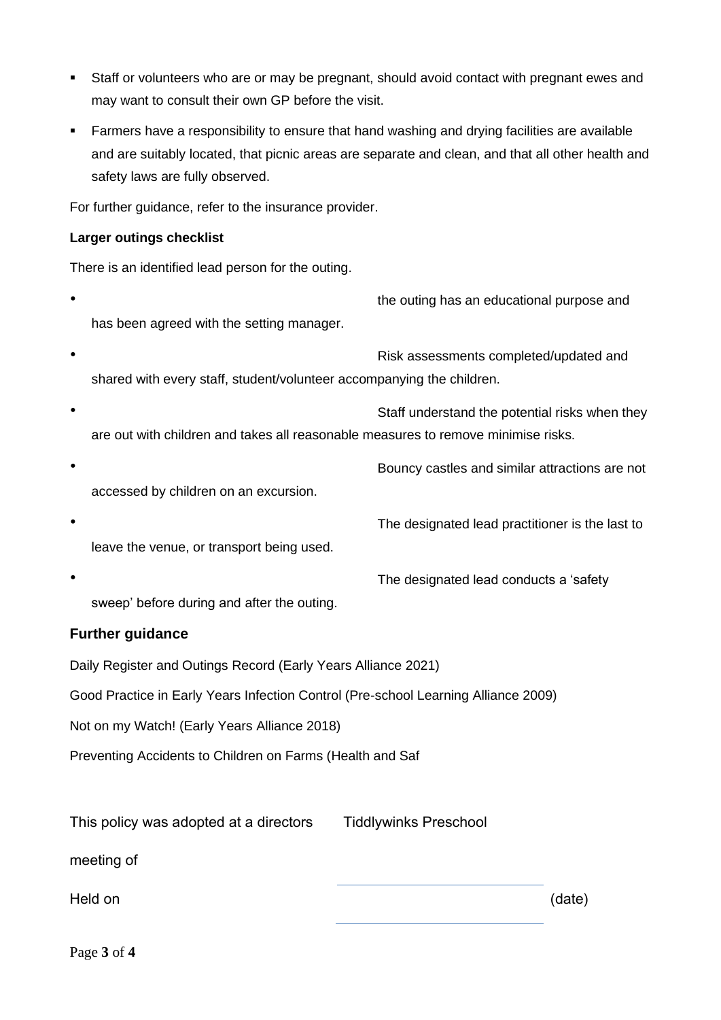- Staff or volunteers who are or may be pregnant, should avoid contact with pregnant ewes and may want to consult their own GP before the visit.
- **EXT** Farmers have a responsibility to ensure that hand washing and drying facilities are available and are suitably located, that picnic areas are separate and clean, and that all other health and safety laws are fully observed.

For further guidance, refer to the insurance provider.

### **Larger outings checklist**

There is an identified lead person for the outing.

- the outing has an educational purpose and has been agreed with the setting manager.
- Risk assessments completed/updated and shared with every staff, student/volunteer accompanying the children.
- Staff understand the potential risks when they are out with children and takes all reasonable measures to remove minimise risks.
- Bouncy castles and similar attractions are not accessed by children on an excursion.
- The designated lead practitioner is the last to leave the venue, or transport being used.
- The designated lead conducts a 'safety sweep' before during and after the outing.

# **Further guidance**

Daily Register and Outings Record (Early Years Alliance 2021)

Good Practice in Early Years Infection Control (Pre-school Learning Alliance 2009)

Not on my Watch! (Early Years Alliance 2018)

Preventing Accidents to Children on Farms (Health and Saf

This policy was adopted at a directors

Tiddlywinks Preschool

meeting of

Held on (date)

Page **3** of **4**